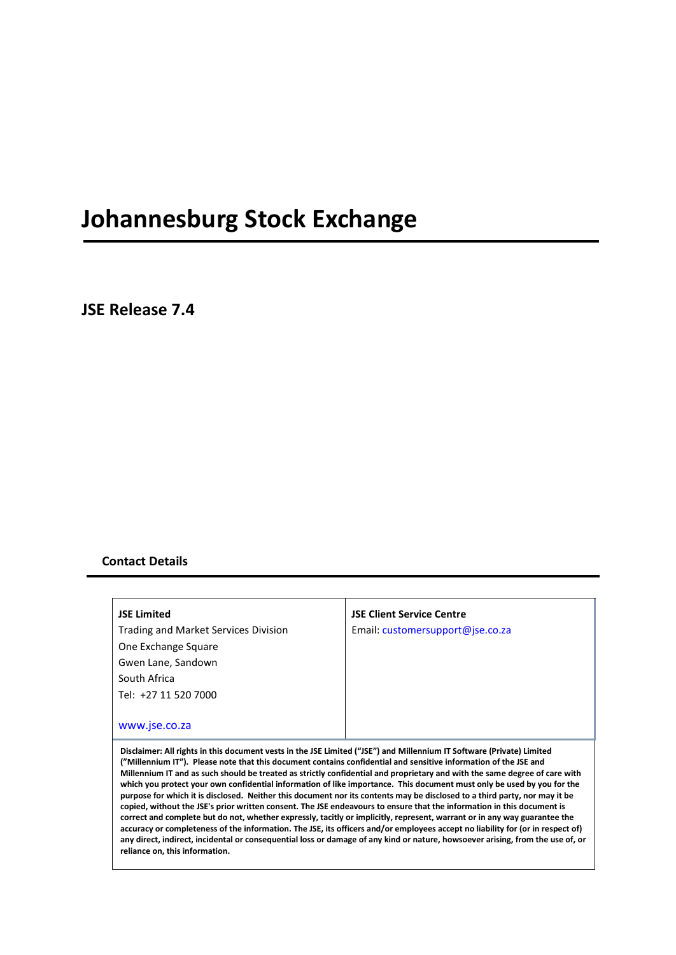# **Johannesburg Stock Exchange**

**JSE Release 7.4**

## **Contact Details**

**JSE Limited** Trading and Market Services Division One Exchange Square Gwen Lane, Sandown South Africa Tel: +27 11 520 7000

## **JSE Client Service Centre** Email: [customersupport@jse.co.za](mailto:customersupport@jse.co.za)

### [www.jse.co.za](http://www.jse.co.za/)

**Disclaimer: All rights in this document vests in the JSE Limited ("JSE") and Millennium IT Software (Private) Limited ("Millennium IT"). Please note that this document contains confidential and sensitive information of the JSE and Millennium IT and as such should be treated as strictly confidential and proprietary and with the same degree of care with which you protect your own confidential information of like importance. This document must only be used by you for the purpose for which it is disclosed. Neither this document nor its contents may be disclosed to a third party, nor may it be copied, without the JSE's prior written consent. The JSE endeavours to ensure that the information in this document is correct and complete but do not, whether expressly, tacitly or implicitly, represent, warrant or in any way guarantee the accuracy or completeness of the information. The JSE, its officers and/or employees accept no liability for (or in respect of) any direct, indirect, incidental or consequential loss or damage of any kind or nature, howsoever arising, from the use of, or reliance on, this information.**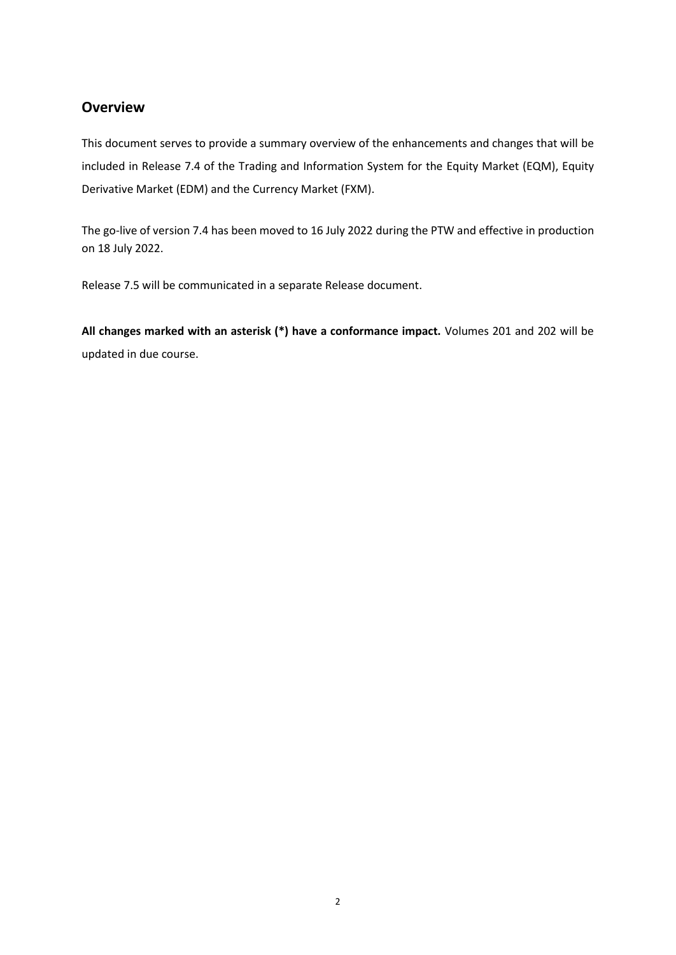# **Overview**

This document serves to provide a summary overview of the enhancements and changes that will be included in Release 7.4 of the Trading and Information System for the Equity Market (EQM), Equity Derivative Market (EDM) and the Currency Market (FXM).

The go-live of version 7.4 has been moved to 16 July 2022 during the PTW and effective in production on 18 July 2022.

Release 7.5 will be communicated in a separate Release document.

**All changes marked with an asterisk (\*) have a conformance impact.** Volumes 201 and 202 will be updated in due course.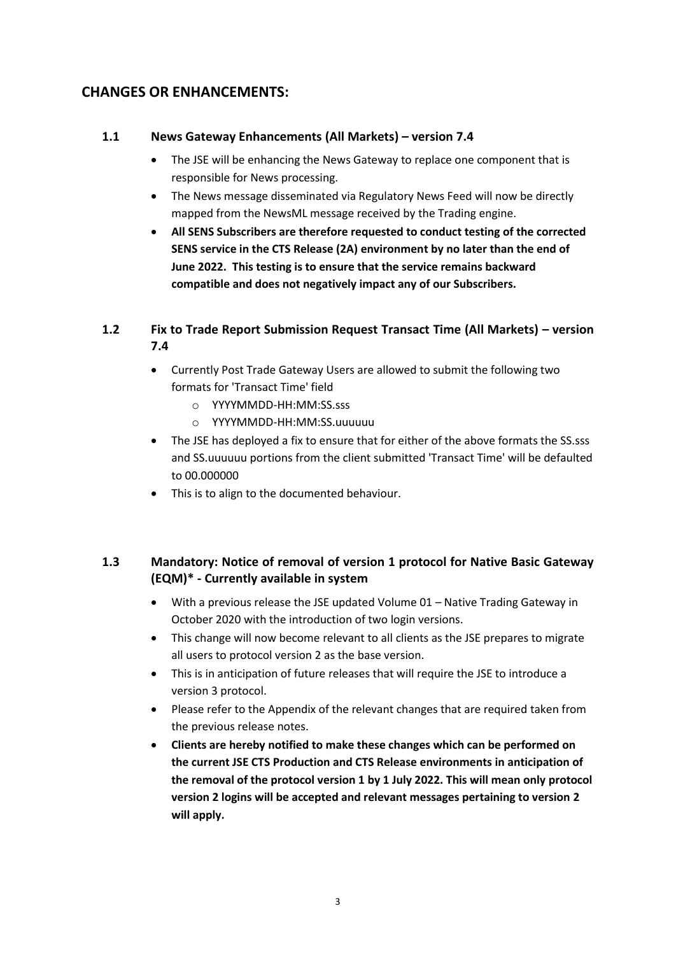# **CHANGES OR ENHANCEMENTS:**

## **1.1 News Gateway Enhancements (All Markets) – version 7.4**

- The JSE will be enhancing the News Gateway to replace one component that is responsible for News processing.
- The News message disseminated via Regulatory News Feed will now be directly mapped from the NewsML message received by the Trading engine.
- **All SENS Subscribers are therefore requested to conduct testing of the corrected SENS service in the CTS Release (2A) environment by no later than the end of June 2022. This testing is to ensure that the service remains backward compatible and does not negatively impact any of our Subscribers.**

# **1.2 Fix to Trade Report Submission Request Transact Time (All Markets) – version 7.4**

- Currently Post Trade Gateway Users are allowed to submit the following two formats for 'Transact Time' field
	- o YYYYMMDD-HH:MM:SS.sss
	- o YYYYMMDD-HH:MM:SS.uuuuuu
- The JSE has deployed a fix to ensure that for either of the above formats the SS.sss and SS.uuuuuu portions from the client submitted 'Transact Time' will be defaulted to 00.000000
- This is to align to the documented behaviour.

# **1.3 Mandatory: Notice of removal of version 1 protocol for Native Basic Gateway (EQM)\* - Currently available in system**

- With a previous release the JSE updated Volume 01 Native Trading Gateway in October 2020 with the introduction of two login versions.
- This change will now become relevant to all clients as the JSE prepares to migrate all users to protocol version 2 as the base version.
- This is in anticipation of future releases that will require the JSE to introduce a version 3 protocol.
- Please refer to the Appendix of the relevant changes that are required taken from the previous release notes.
- **Clients are hereby notified to make these changes which can be performed on the current JSE CTS Production and CTS Release environments in anticipation of the removal of the protocol version 1 by 1 July 2022. This will mean only protocol version 2 logins will be accepted and relevant messages pertaining to version 2 will apply.**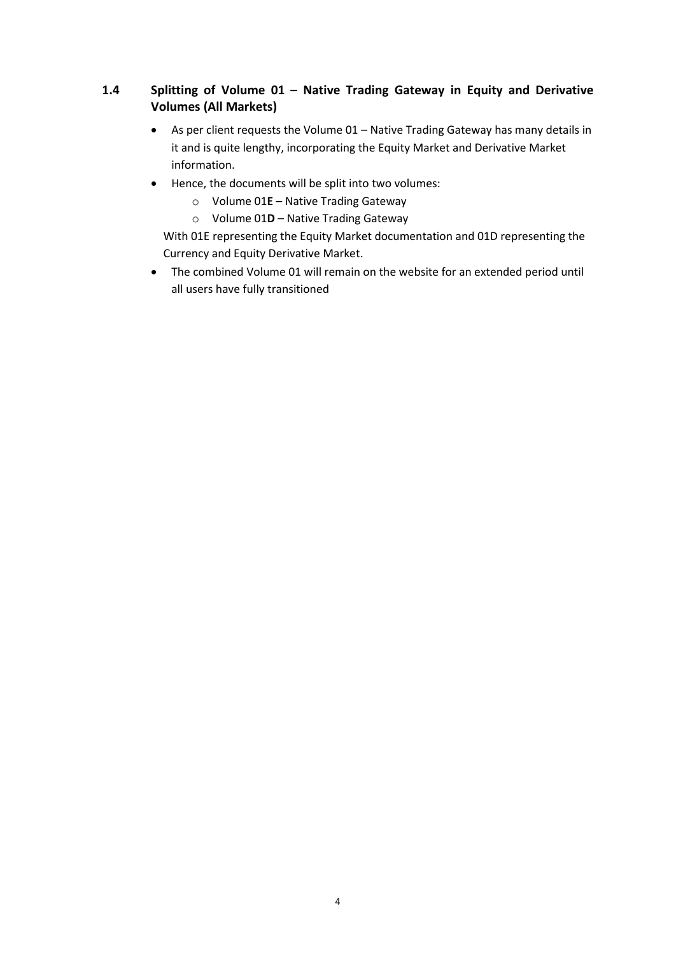# **1.4 Splitting of Volume 01 – Native Trading Gateway in Equity and Derivative Volumes (All Markets)**

- As per client requests the Volume 01 Native Trading Gateway has many details in it and is quite lengthy, incorporating the Equity Market and Derivative Market information.
- Hence, the documents will be split into two volumes:
	- o Volume 01**E** Native Trading Gateway
	- o Volume 01**D** Native Trading Gateway

With 01E representing the Equity Market documentation and 01D representing the Currency and Equity Derivative Market.

• The combined Volume 01 will remain on the website for an extended period until all users have fully transitioned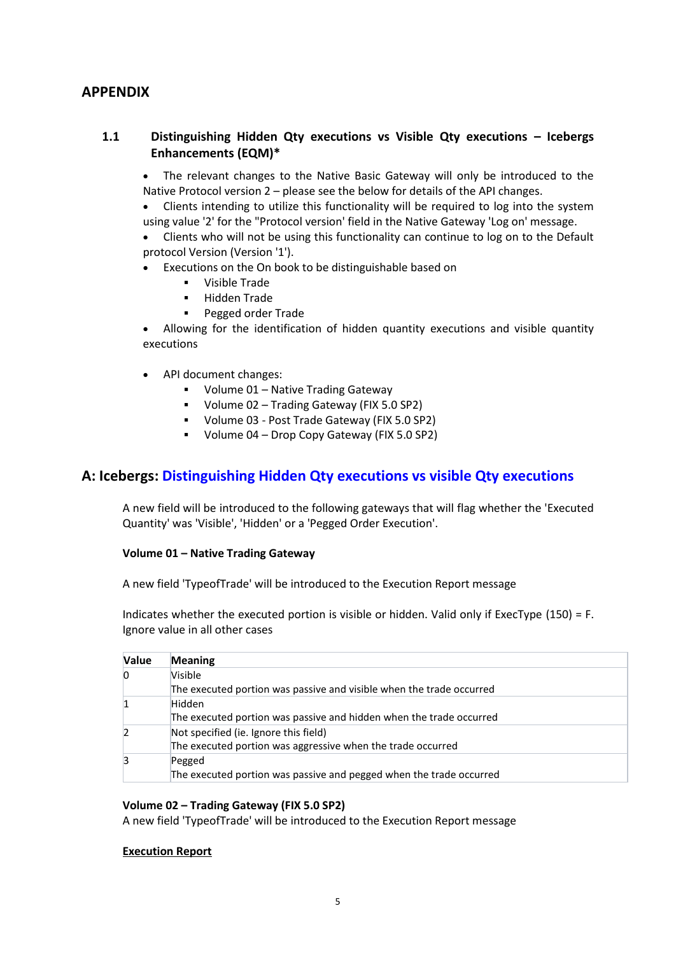# **APPENDIX**

## **1.1 Distinguishing Hidden Qty executions vs Visible Qty executions – Icebergs Enhancements (EQM)\***

• The relevant changes to the Native Basic Gateway will only be introduced to the Native Protocol version 2 – please see the below for details of the API changes.

• Clients intending to utilize this functionality will be required to log into the system using value '2' for the "Protocol version' field in the Native Gateway 'Log on' message.

• Clients who will not be using this functionality can continue to log on to the Default protocol Version (Version '1').

- Executions on the On book to be distinguishable based on
	- Visible Trade
	- Hidden Trade
	- Pegged order Trade

• Allowing for the identification of hidden quantity executions and visible quantity executions

- API document changes:
	- Volume 01 Native Trading Gateway
	- Volume 02 Trading Gateway (FIX 5.0 SP2)
	- Volume 03 Post Trade Gateway (FIX 5.0 SP2)
	- Volume 04 Drop Copy Gateway (FIX 5.0 SP2)

## **A: Icebergs: [Distinguishing Hidden Qty executions vs visible Qty executions](https://confluence.millenniumit.com/display/JSEDOC/JSE-21986+Distinguishing+Hidden+Qty+executions+vs+visible+Qty+executions)**

A new field will be introduced to the following gateways that will flag whether the 'Executed Quantity' was 'Visible', 'Hidden' or a 'Pegged Order Execution'.

#### **Volume 01 – Native Trading Gateway**

A new field 'TypeofTrade' will be introduced to the Execution Report message

Indicates whether the executed portion is visible or hidden. Valid only if ExecType (150) = F. Ignore value in all other cases

| <b>Value</b> | <b>Meaning</b>                                                       |
|--------------|----------------------------------------------------------------------|
|              | Visible                                                              |
|              | The executed portion was passive and visible when the trade occurred |
|              | Hidden                                                               |
|              | The executed portion was passive and hidden when the trade occurred  |
|              | Not specified (ie. Ignore this field)                                |
|              | The executed portion was aggressive when the trade occurred          |
|              | Pegged                                                               |
|              | The executed portion was passive and pegged when the trade occurred  |

#### **Volume 02 – Trading Gateway (FIX 5.0 SP2)**

A new field 'TypeofTrade' will be introduced to the Execution Report message

#### **Execution Report**